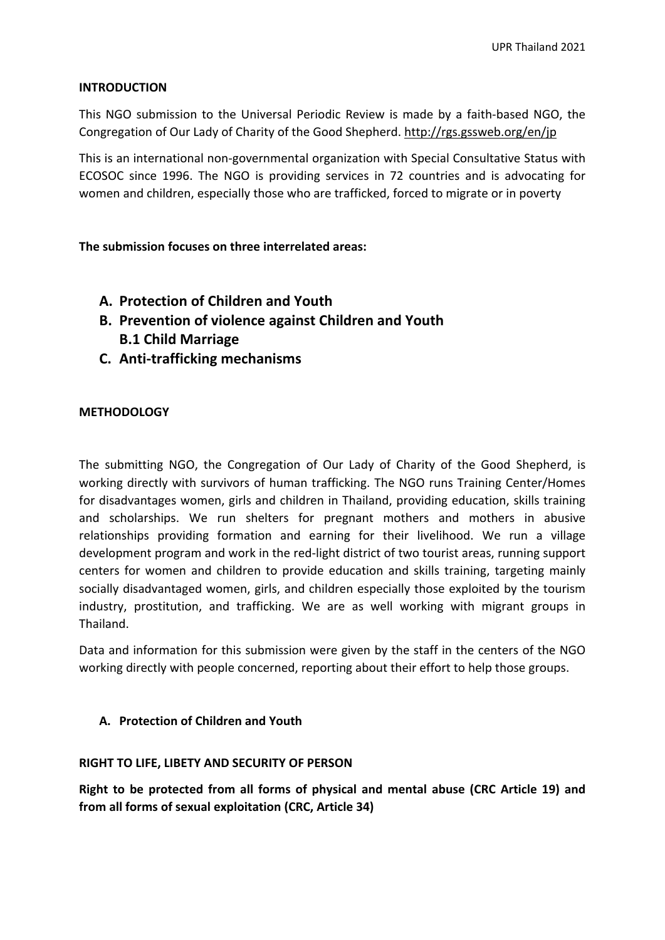### **INTRODUCTION**

This NGO submission to the Universal Periodic Review is made by <sup>a</sup> faith-based NGO, the Congregation of Our Lady of Charity of the Good Shepherd. <http://rgs.gssweb.org/en/jp>

This is an international non-governmental organization with Special Consultative Status with ECOSOC since 1996. The NGO is providing services in 72 countries and is advocating for women and children, especially those who are trafficked, forced to migrate or in poverty

**The submission focuses on three interrelated areas:**

- **A. Protection of Children and Youth**
- **B. Prevention of violence against Children and Youth B.1 Child Marriage**
- **C. Anti-trafficking mechanisms**

## **METHODOLOGY**

The submitting NGO, the Congregation of Our Lady of Charity of the Good Shepherd, is working directly with survivors of human trafficking. The NGO runs Training Center/Homes for disadvantages women, girls and children in Thailand, providing education, skills training and scholarships. We run shelters for pregnant mothers and mothers in abusive relationships providing formation and earning for their livelihood. We run <sup>a</sup> village development program and work in the red-light district of two tourist areas, running support centers for women and children to provide education and skills training, targeting mainly socially disadvantaged women, girls, and children especially those exploited by the tourism industry, prostitution, and trafficking. We are as well working with migrant groups in Thailand.

Data and information for this submission were given by the staff in the centers of the NGO working directly with people concerned, reporting about their effort to help those groups.

### **A. Protection of Children and Youth**

### **RIGHT TO LIFE, LIBETY AND SECURITY OF PERSON**

**Right to be protected from all forms of physical and mental abuse (CRC Article 19) and from all forms of sexual exploitation (CRC, Article 34)**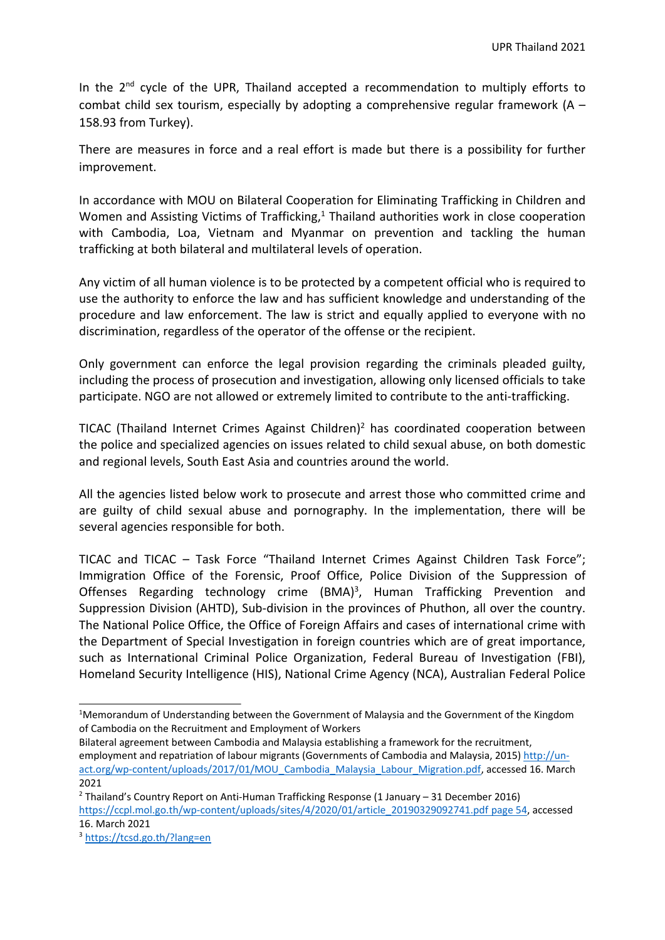In the  $2^{nd}$  cycle of the UPR, Thailand accepted a recommendation to multiply efforts to combat child sex tourism, especially by adopting a comprehensive regular framework  $(A -$ 158.93 from Turkey).

There are measures in force and <sup>a</sup> real effort is made but there is <sup>a</sup> possibility for further improvement.

In accordance with MOU on Bilateral Cooperation for Eliminating Trafficking in Children and Women and Assisting Victims of Trafficking,<sup>1</sup> Thailand authorities work in close cooperation with Cambodia, Loa, Vietnam and Myanmar on prevention and tackling the human trafficking at both bilateral and multilateral levels of operation.

Any victim of all human violence is to be protected by <sup>a</sup> competent official who is required to use the authority to enforce the law and has sufficient knowledge and understanding of the procedure and law enforcement. The law is strict and equally applied to everyone with no discrimination, regardless of the operator of the offense or the recipient.

Only government can enforce the legal provision regarding the criminals pleaded guilty, including the process of prosecution and investigation, allowing only licensed officials to take participate. NGO are not allowed or extremely limited to contribute to the anti-trafficking.

TICAC (Thailand Internet Crimes Against Children) 2 has coordinated cooperation between the police and specialized agencies on issues related to child sexual abuse, on both domestic and regional levels, South East Asia and countries around the world.

All the agencies listed below work to prosecute and arrest those who committed crime and are guilty of child sexual abuse and pornography. In the implementation, there will be several agencies responsible for both.

TICAC and TICAC – Task Force "Thailand Internet Crimes Against Children Task Force"; Immigration Office of the Forensic, Proof Office, Police Division of the Suppression of Offenses Regarding technology crime (BMA)<sup>3</sup>, Human Trafficking Prevention and Suppression Division (AHTD), Sub-division in the provinces of Phuthon, all over the country. The National Police Office, the Office of Foreign Affairs and cases of international crime with the Department of Special Investigation in foreign countries which are of great importance, such as International Criminal Police Organization, Federal Bureau of Investigation (FBI), Homeland Security Intelligence (HIS), National Crime Agency (NCA), Australian Federal Police

<sup>&</sup>lt;sup>1</sup>Memorandum of Understanding between the Government of Malaysia and the Government of the Kingdom of Cambodia on the Recruitment and Employment of Workers

Bilateral agreement between Cambodia and Malaysia establishing <sup>a</sup> framework for the recruitment, employment and repatriation of labour migrants (Governments of Cambodia and Malaysia, 2015) [http://un](http://un-act.org/wp-content/uploads/2017/01/MOU_Cambodia_Malaysia_Labour_Migration.pdf)[act.org/wp-content/uploads/2017/01/MOU\\_Cambodia\\_Malaysia\\_Labour\\_Migration.pdf](http://un-act.org/wp-content/uploads/2017/01/MOU_Cambodia_Malaysia_Labour_Migration.pdf), accessed 16. March 2021

<sup>&</sup>lt;sup>2</sup> Thailand's Country Report on Anti-Human Trafficking Response (1 January – 31 December 2016) [https://ccpl.mol.go.th/wp-content/uploads/sites/4/2020/01/article\\_20190329092741.pdf](https://ccpl.mol.go.th/wp-content/uploads/sites/4/2020/01/article_20190329092741.pdf%20page%2054) page 54, accessed 16. March 2021

<sup>3</sup> <https://tcsd.go.th/?lang=en>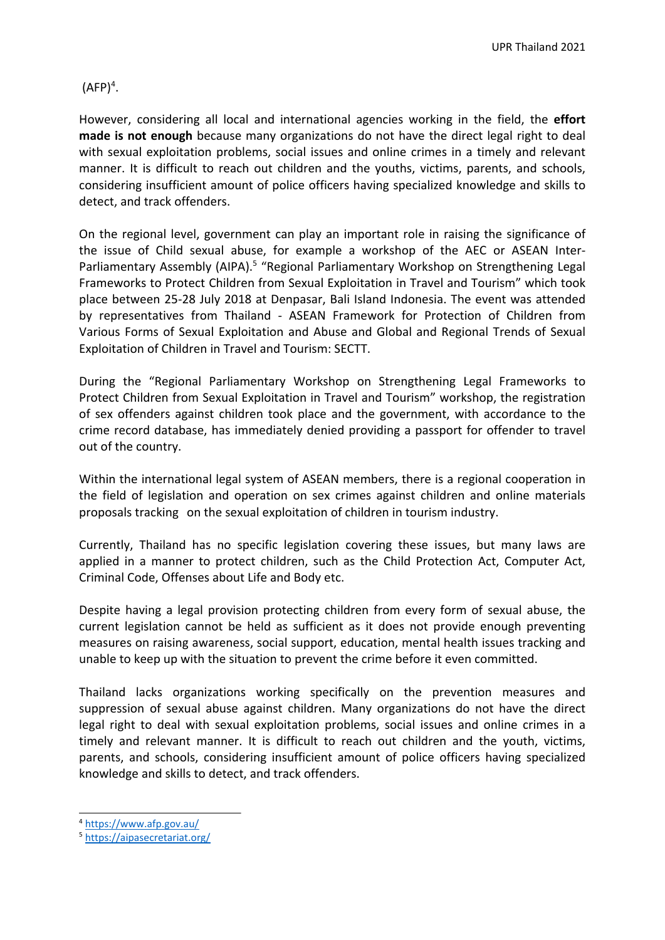(AFP) $^4$ .

However, considering all local and international agencies working in the field, the **effort made is not enough** because many organizations do not have the direct legal right to deal with sexual exploitation problems, social issues and online crimes in <sup>a</sup> timely and relevant manner. It is difficult to reach out children and the youths, victims, parents, and schools, considering insufficient amount of police officers having specialized knowledge and skills to detect, and track offenders.

On the regional level, government can play an important role in raising the significance of the issue of Child sexual abuse, for example <sup>a</sup> workshop of the AEC or ASEAN Inter-Parliamentary Assembly (AIPA).<sup>5</sup> "Regional Parliamentary Workshop on Strengthening Legal Frameworks to Protect Children from Sexual Exploitation in Travel and Tourism" which took place between 25-28 July 2018 at Denpasar, Bali Island Indonesia. The event was attended by representatives from Thailand - ASEAN Framework for Protection of Children from Various Forms of Sexual Exploitation and Abuse and Global and Regional Trends of Sexual Exploitation of Children in Travel and Tourism: SECTT.

During the "Regional Parliamentary Workshop on Strengthening Legal Frameworks to Protect Children from Sexual Exploitation in Travel and Tourism" workshop, the registration of sex offenders against children took place and the government, with accordance to the crime record database, has immediately denied providing <sup>a</sup> passport for offender to travel out of the country.

Within the international legal system of ASEAN members, there is <sup>a</sup> regional cooperation in the field of legislation and operation on sex crimes against children and online materials proposals tracking on the sexual exploitation of children in tourism industry.

Currently, Thailand has no specific legislation covering these issues, but many laws are applied in <sup>a</sup> manner to protect children, such as the Child Protection Act, Computer Act, Criminal Code, Offenses about Life and Body etc.

Despite having <sup>a</sup> legal provision protecting children from every form of sexual abuse, the current legislation cannot be held as sufficient as it does not provide enough preventing measures on raising awareness, social support, education, mental health issues tracking and unable to keep up with the situation to prevent the crime before it even committed.

Thailand lacks organizations working specifically on the prevention measures and suppression of sexual abuse against children. Many organizations do not have the direct legal right to deal with sexual exploitation problems, social issues and online crimes in <sup>a</sup> timely and relevant manner. It is difficult to reach out children and the youth, victims, parents, and schools, considering insufficient amount of police officers having specialized knowledge and skills to detect, and track offenders.

<sup>4</sup> <https://www.afp.gov.au/>

<sup>5</sup> <https://aipasecretariat.org/>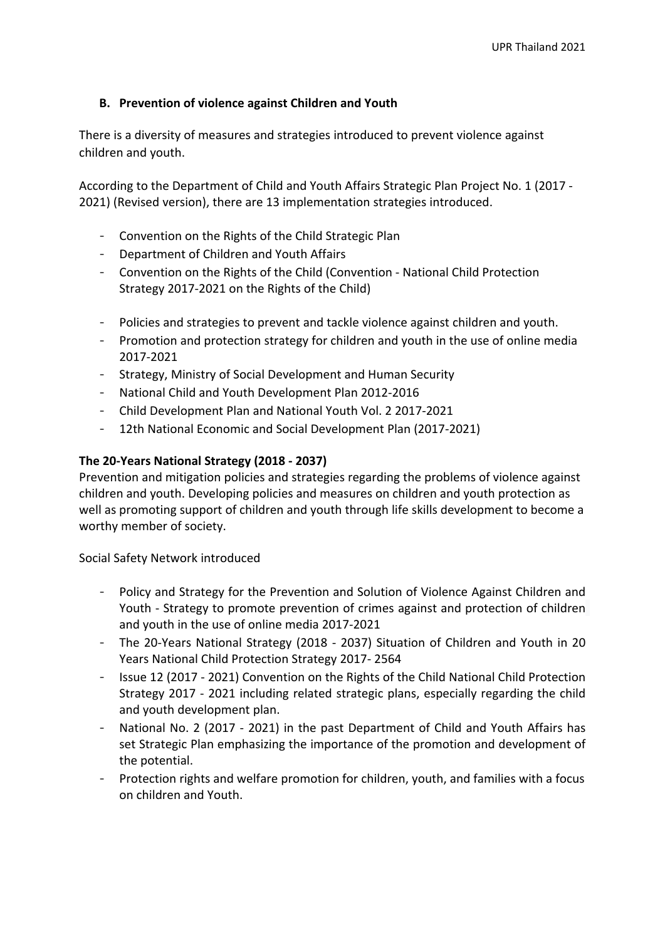# **B. Prevention of violence against Children and Youth**

There is <sup>a</sup> diversity of measures and strategies introduced to prevent violence against children and youth.

According to the Department of Child and Youth Affairs Strategic Plan Project No. 1 (2017 - 2021) (Revised version), there are 13 implementation strategies introduced.

- Convention on the Rights of the Child Strategic Plan
- Department of Children and Youth Affairs
- Convention on the Rights of the Child (Convention National Child Protection Strategy 2017-2021 on the Rights of the Child)
- Policies and strategies to prevent and tackle violence against children and youth.
- Promotion and protection strategy for children and youth in the use of online media 2017-2021
- Strategy, Ministry of Social Development and Human Security
- National Child and Youth Development Plan 2012-2016
- Child Development Plan and National Youth Vol. 2 2017-2021
- 12th National Economic and Social Development Plan (2017-2021)

### **The 20-Years National Strategy (2018 - 2037)**

Prevention and mitigation policies and strategies regarding the problems of violence against children and youth. Developing policies and measures on children and youth protection as well as promoting support of children and youth through life skills development to become <sup>a</sup> worthy member of society.

Social Safety Network introduced

- Policy and Strategy for the Prevention and Solution of Violence Against Children and Youth - Strategy to promote prevention of crimes against and protection of children and youth in the use of online media 2017-2021
- The 20-Years National Strategy (2018 2037) Situation of Children and Youth in 20 Years National Child Protection Strategy 2017- 2564
- Issue 12 (2017 2021) Convention on the Rights of the Child National Child Protection Strategy 2017 - 2021 including related strategic plans, especially regarding the child and youth development plan.
- National No. 2 (2017 2021) in the past Department of Child and Youth Affairs has set Strategic Plan emphasizing the importance of the promotion and development of the potential.
- Protection rights and welfare promotion for children, youth, and families with <sup>a</sup> focus on children and Youth.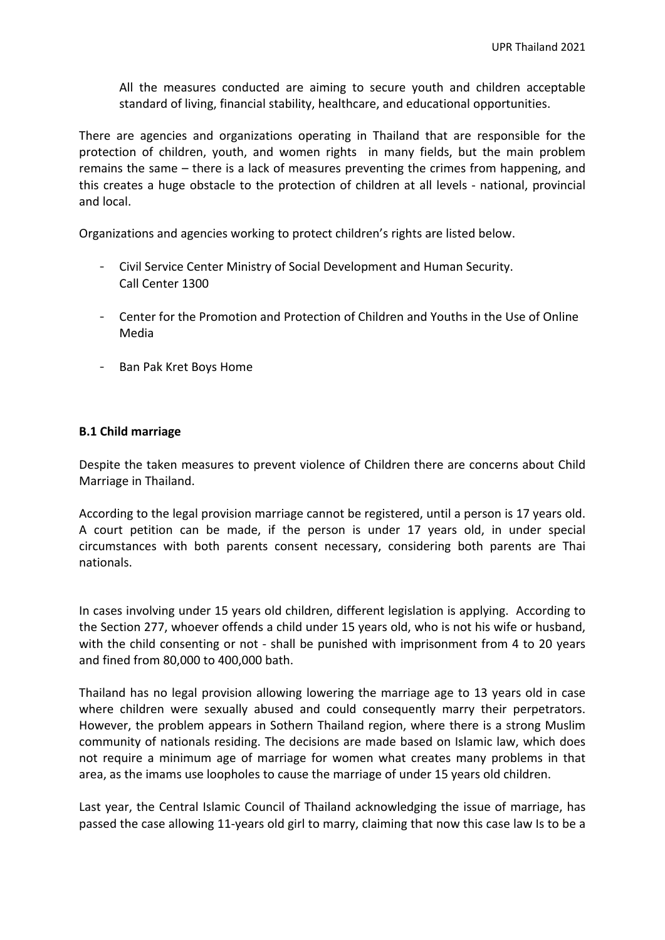All the measures conducted are aiming to secure youth and children acceptable standard of living, financial stability, healthcare, and educational opportunities.

There are agencies and organizations operating in Thailand that are responsible for the protection of children, youth, and women rights in many fields, but the main problem remains the same – there is <sup>a</sup> lack of measures preventing the crimes from happening, and this creates <sup>a</sup> huge obstacle to the protection of children at all levels - national, provincial and local.

Organizations and agencies working to protect children'<sup>s</sup> rights are listed below.

- Civil Service Center Ministry of Social Development and Human Security. Call Center 1300
- Center for the Promotion and Protection of Children and Youths in the Use of Online Media
- Ban Pak Kret Boys Home

## **B.1 Child marriage**

Despite the taken measures to prevent violence of Children there are concerns about Child Marriage in Thailand.

According to the legal provision marriage cannot be registered, until <sup>a</sup> person is 17 years old. A court petition can be made, if the person is under 17 years old, in under special circumstances with both parents consent necessary, considering both parents are Thai nationals.

In cases involving under 15 years old children, different legislation is applying. According to the Section 277, whoever offends <sup>a</sup> child under 15 years old, who is not his wife or husband, with the child consenting or not - shall be punished with imprisonment from 4 to 20 years and fined from 80,000 to 400,000 bath.

Thailand has no legal provision allowing lowering the marriage age to 13 years old in case where children were sexually abused and could consequently marry their perpetrators. However, the problem appears in Sothern Thailand region, where there is <sup>a</sup> strong Muslim community of nationals residing. The decisions are made based on Islamic law, which does not require <sup>a</sup> minimum age of marriage for women what creates many problems in that area, as the imams use loopholes to cause the marriage of under 15 years old children.

Last year, the Central Islamic Council of Thailand acknowledging the issue of marriage, has passed the case allowing 11-years old girl to marry, claiming that now this case law Is to be <sup>a</sup>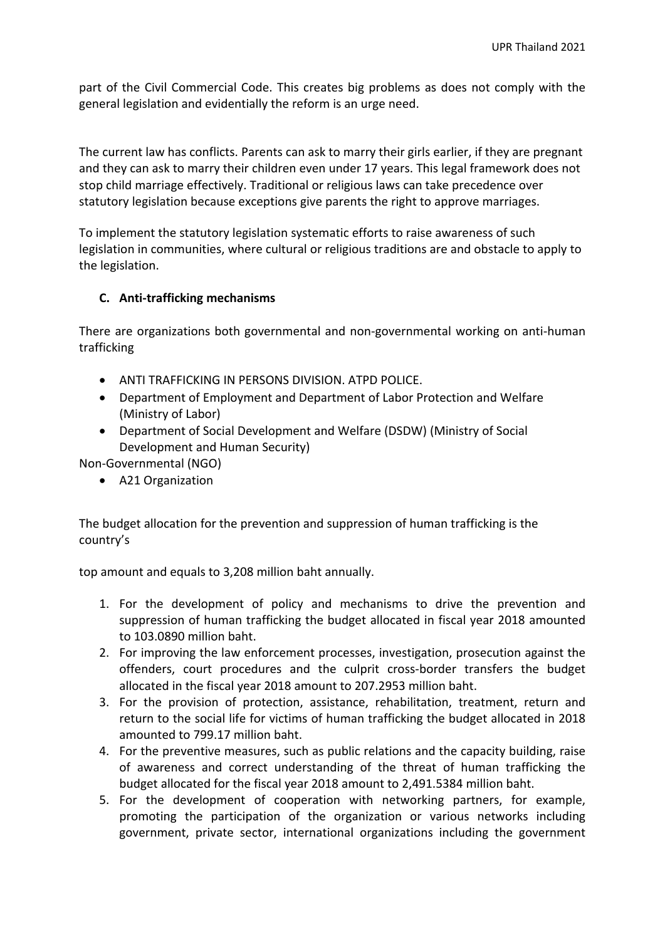part of the Civil Commercial Code. This creates big problems as does not comply with the general legislation and evidentially the reform is an urge need.

The current law has conflicts. Parents can ask to marry their girls earlier, if they are pregnant and they can ask to marry their children even under 17 years. This legal framework does not stop child marriage effectively. Traditional or religious laws can take precedence over statutory legislation because exceptions give parents the right to approve marriages.

To implement the statutory legislation systematic efforts to raise awareness of such legislation in communities, where cultural or religious traditions are and obstacle to apply to the legislation.

# **C. Anti-trafficking mechanisms**

There are organizations both governmental and non-governmental working on anti-human trafficking

- ANTI TRAFFICKING IN PERSONS DIVISION. ATPD POLICE.
- Department of Employment and Department of Labor Protection and Welfare (Ministry of Labor)
- Department of Social Development and Welfare (DSDW) (Ministry of Social Development and Human Security)

Non-Governmental (NGO)

A21 Organization

The budget allocation for the prevention and suppression of human trafficking is the country'<sup>s</sup>

top amount and equals to 3,208 million baht annually.

- 1. For the development of policy and mechanisms to drive the prevention and suppression of human trafficking the budget allocated in fiscal year 2018 amounted to 103.0890 million baht.
- 2. For improving the law enforcement processes, investigation, prosecution against the offenders, court procedures and the culprit cross-border transfers the budget allocated in the fiscal year 2018 amount to 207.2953 million baht.
- 3. For the provision of protection, assistance, rehabilitation, treatment, return and return to the social life for victims of human trafficking the budget allocated in 2018 amounted to 799.17 million baht.
- 4. For the preventive measures, such as public relations and the capacity building, raise of awareness and correct understanding of the threat of human trafficking the budget allocated for the fiscal year 2018 amount to 2,491.5384 million baht.
- 5. For the development of cooperation with networking partners, for example, promoting the participation of the organization or various networks including government, private sector, international organizations including the government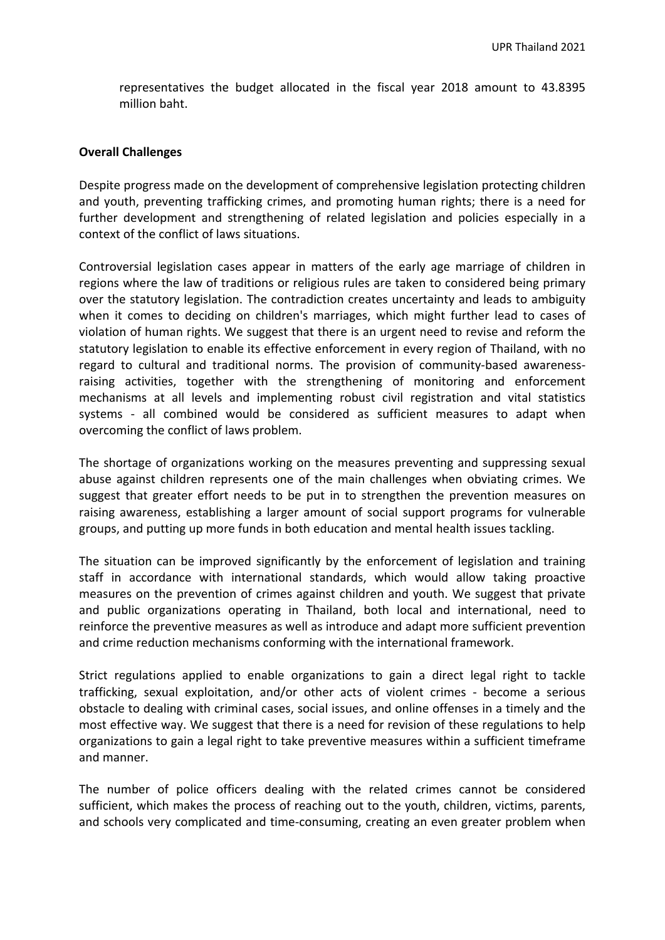representatives the budget allocated in the fiscal year 2018 amount to 43.8395 million baht.

#### **Overall Challenges**

Despite progress made on the development of comprehensive legislation protecting children and youth, preventing trafficking crimes, and promoting human rights; there is <sup>a</sup> need for further development and strengthening of related legislation and policies especially in <sup>a</sup> context of the conflict of laws situations.

Controversial legislation cases appear in matters of the early age marriage of children in regions where the law of traditions or religious rules are taken to considered being primary over the statutory legislation. The contradiction creates uncertainty and leads to ambiguity when it comes to deciding on children's marriages, which might further lead to cases of violation of human rights. We suggest that there is an urgent need to revise and reform the statutory legislation to enable its effective enforcement in every region of Thailand, with no regard to cultural and traditional norms. The provision of community-based awarenessraising activities, together with the strengthening of monitoring and enforcement mechanisms at all levels and implementing robust civil registration and vital statistics systems - all combined would be considered as sufficient measures to adapt when overcoming the conflict of laws problem.

The shortage of organizations working on the measures preventing and suppressing sexual abuse against children represents one of the main challenges when obviating crimes. We suggest that greater effort needs to be put in to strengthen the prevention measures on raising awareness, establishing <sup>a</sup> larger amount of social support programs for vulnerable groups, and putting up more funds in both education and mental health issues tackling.

The situation can be improved significantly by the enforcement of legislation and training staff in accordance with international standards, which would allow taking proactive measures on the prevention of crimes against children and youth. We suggest that private and public organizations operating in Thailand, both local and international, need to reinforce the preventive measures as well as introduce and adapt more sufficient prevention and crime reduction mechanisms conforming with the international framework.

Strict regulations applied to enable organizations to gain <sup>a</sup> direct legal right to tackle trafficking, sexual exploitation, and/or other acts of violent crimes - become <sup>a</sup> serious obstacle to dealing with criminal cases, social issues, and online offenses in <sup>a</sup> timely and the most effective way. We suggest that there is <sup>a</sup> need for revision of these regulations to help organizations to gain <sup>a</sup> legal right to take preventive measures within <sup>a</sup> sufficient timeframe and manner.

The number of police officers dealing with the related crimes cannot be considered sufficient, which makes the process of reaching out to the youth, children, victims, parents, and schools very complicated and time-consuming, creating an even greater problem when